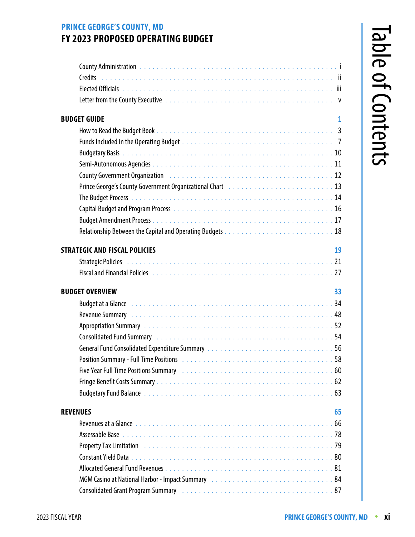## **PRINCE GEORGE'S COUNTY, MD FY 2023 PROPOSED OPERATING BUDGET**

| <b>BUDGET GUIDE</b><br>$\mathbf{1}$                                                                                                                                                                                            |  |
|--------------------------------------------------------------------------------------------------------------------------------------------------------------------------------------------------------------------------------|--|
|                                                                                                                                                                                                                                |  |
|                                                                                                                                                                                                                                |  |
|                                                                                                                                                                                                                                |  |
|                                                                                                                                                                                                                                |  |
| County Government Organization (1999) 120 million (1999) 2010 12: 10 million (1999) 30 million (1999) 30 million (1999) 30 million (1999) 30 million (1999) 30 million (1999) 30 million (1999) 30 million (1999) 30 million ( |  |
| Prince George's County Government Organizational Chart (Fig. 1998) 1996 - Prince George's County Government Organizational Chart (Fig. 2008)                                                                                   |  |
|                                                                                                                                                                                                                                |  |
|                                                                                                                                                                                                                                |  |
|                                                                                                                                                                                                                                |  |
|                                                                                                                                                                                                                                |  |
| <b>STRATEGIC AND FISCAL POLICIES</b><br>19                                                                                                                                                                                     |  |
|                                                                                                                                                                                                                                |  |
| Fiscal and Financial Policies (and account of the control of the control of the control of the control of the c                                                                                                                |  |
| <b>BUDGET OVERVIEW</b><br>33                                                                                                                                                                                                   |  |
| Budget at a Glance <b>contract to the Contract Automobile 2010</b> and 2010 is a contract to the contract of the contr                                                                                                         |  |
|                                                                                                                                                                                                                                |  |
|                                                                                                                                                                                                                                |  |
| Consolidated Fund Summary No. 1996. The Conservation Art Adventure Consolidated Fund Summary No. 1996.                                                                                                                         |  |
|                                                                                                                                                                                                                                |  |
|                                                                                                                                                                                                                                |  |
|                                                                                                                                                                                                                                |  |
|                                                                                                                                                                                                                                |  |
|                                                                                                                                                                                                                                |  |
| 65<br><b>REVENUES</b>                                                                                                                                                                                                          |  |
|                                                                                                                                                                                                                                |  |
|                                                                                                                                                                                                                                |  |
|                                                                                                                                                                                                                                |  |
|                                                                                                                                                                                                                                |  |
|                                                                                                                                                                                                                                |  |
|                                                                                                                                                                                                                                |  |
|                                                                                                                                                                                                                                |  |
|                                                                                                                                                                                                                                |  |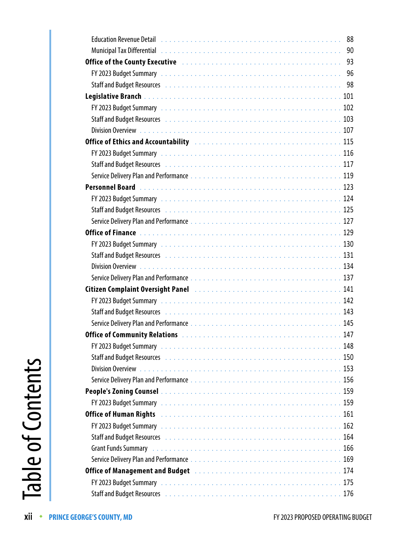| Education Revenue Detail <i>Martin Martin American</i> American American American Association Association Association                                                                                                                |
|--------------------------------------------------------------------------------------------------------------------------------------------------------------------------------------------------------------------------------------|
| Municipal Tax Differential enterpreteration of the contract of the contract of the contract of the contract of                                                                                                                       |
| Office of the County Executive <b>Container Active Container Act of the County of the County</b> B3                                                                                                                                  |
|                                                                                                                                                                                                                                      |
| Staff and Budget Resources (Allenger and Allenger and Allenger and Allenger and Allenger and Allenger and Allen                                                                                                                      |
|                                                                                                                                                                                                                                      |
|                                                                                                                                                                                                                                      |
| Staff and Budget Resources (Allengences Allengence Allengence Allengence Allengence Allengence Allengence All                                                                                                                        |
|                                                                                                                                                                                                                                      |
| Office of Ethics and Accountability Marshall Allen Andrew Marshall All Allen and Marshall All All                                                                                                                                    |
|                                                                                                                                                                                                                                      |
|                                                                                                                                                                                                                                      |
|                                                                                                                                                                                                                                      |
|                                                                                                                                                                                                                                      |
|                                                                                                                                                                                                                                      |
|                                                                                                                                                                                                                                      |
|                                                                                                                                                                                                                                      |
|                                                                                                                                                                                                                                      |
| FY 2023 Budget Summary et al., and a series of the contract of the contract of the contract of the contract of the contract of the contract of the contract of the contract of the contract of the contract of the contract of       |
| Staff and Budget Resources et al., and a series of the series of the series of the series of the series of the                                                                                                                       |
|                                                                                                                                                                                                                                      |
|                                                                                                                                                                                                                                      |
| Citizen Complaint Oversight Panel <b>Familian Company Active Complete Complaint</b> Oversign 141                                                                                                                                     |
|                                                                                                                                                                                                                                      |
| Staff and Budget Resources (Allengences Allengence Allengence Allengence Allengence Allengence Allengence All                                                                                                                        |
|                                                                                                                                                                                                                                      |
|                                                                                                                                                                                                                                      |
| 148                                                                                                                                                                                                                                  |
| Staff and Budget Resources (Allengence Allengence Allengence Allengence Allengence Allengence Allengence Allen                                                                                                                       |
|                                                                                                                                                                                                                                      |
|                                                                                                                                                                                                                                      |
|                                                                                                                                                                                                                                      |
| FY 2023 Budget Summary et al., and a series of the contract of the contract of the contract of the contract of                                                                                                                       |
| Office of Human Rights decompose to the contract of the Contract of the Contract of the Contract of the Contract of the Contract of the Contract of the Contract of the Contract of the Contract of the Contract of the Contra       |
|                                                                                                                                                                                                                                      |
| Staff and Budget Resources in the contract of the contract of the contract of the staff and Budget Resources in the contract of the contract of the staff and the staff and the staff and staff and staff and staff and staff        |
| Grant Funds Summary <i>interesting the content of the content of the content of the content of the content of the content of the content of the content of the content of the content of the content of the content of the conte</i> |
|                                                                                                                                                                                                                                      |
| Office of Management and Budget <b>Manual Access 2018</b> Office of Management and Budget <b>Manual Access 2019</b>                                                                                                                  |
|                                                                                                                                                                                                                                      |
| Staff and Budget Resources (Alberta Alberta Alberta Alberta Alberta Alberta Alberta Alberta Alberta Alberta Al                                                                                                                       |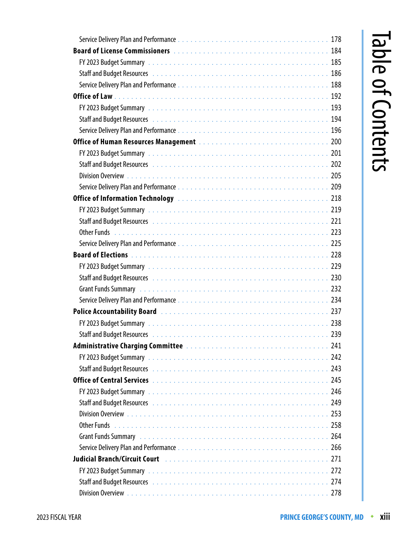| Staff and Budget Resources (Allenger and Allenger and Allenger and Allenger and Allenger and Allenger and Alle          |
|-------------------------------------------------------------------------------------------------------------------------|
|                                                                                                                         |
|                                                                                                                         |
|                                                                                                                         |
| Staff and Budget Resources et al., where the control of the control of the staff and Budget Resources                   |
|                                                                                                                         |
|                                                                                                                         |
|                                                                                                                         |
| Staff and Budget Resources International Activity Activity Acts and Acts and Acts and Acts and Acts and Acts a          |
|                                                                                                                         |
|                                                                                                                         |
| Office of Information Technology (Marshall Marson Marson Marson Marson Marson 218)                                      |
|                                                                                                                         |
| Staff and Budget Resources International American Control of the Staff and Budget Resources                             |
|                                                                                                                         |
|                                                                                                                         |
|                                                                                                                         |
|                                                                                                                         |
| Staff and Budget Resources in the contract of the contract of the contract of the contract of the contract of t         |
|                                                                                                                         |
|                                                                                                                         |
| Police Accountability Board (1999) 2008 (2009) 237                                                                      |
|                                                                                                                         |
|                                                                                                                         |
|                                                                                                                         |
|                                                                                                                         |
| Staff and Budget Resources International Article Additional Article Article Article Article 243                         |
|                                                                                                                         |
|                                                                                                                         |
| Staff and Budget Resources International Article Additional Article Article Article Article 249                         |
|                                                                                                                         |
|                                                                                                                         |
| Grant Funds Summary <i>interestion</i> , the contract of the contract of the contract of the contract of the contract o |
|                                                                                                                         |
| Judicial Branch/Circuit Court Marshall Allen Andrew Marshall Allen Andrew Marshall Allen Andrew Marshall Allen          |
|                                                                                                                         |
|                                                                                                                         |
|                                                                                                                         |

## Table of Contents Table of Contents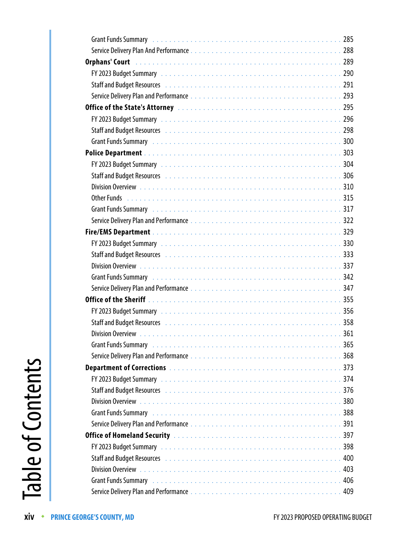| Grant Funds Summary <b>Product American</b> Community Crant Funds Summary <b>Community Community Community</b>                                                                                                                                         | 285 |
|--------------------------------------------------------------------------------------------------------------------------------------------------------------------------------------------------------------------------------------------------------|-----|
|                                                                                                                                                                                                                                                        |     |
|                                                                                                                                                                                                                                                        |     |
|                                                                                                                                                                                                                                                        |     |
| Staff and Budget Resources <i>[1]</i> [2012] Staff and Budget Resources <b>Resources 1991</b>                                                                                                                                                          |     |
|                                                                                                                                                                                                                                                        |     |
| Office of the State's Attorney <b>contract to the Contract of the State of the State's Attorney</b> contract to the Co                                                                                                                                 |     |
|                                                                                                                                                                                                                                                        |     |
| Staff and Budget Resources (Allegence Allegence Allegence Allegence Allegence Allegence Allegence Allegence Al                                                                                                                                         |     |
|                                                                                                                                                                                                                                                        |     |
|                                                                                                                                                                                                                                                        |     |
|                                                                                                                                                                                                                                                        |     |
| Staff and Budget Resources <b>Manual Accept Accept Accept Accept</b> Staff and Budget Resources <b>Manual Accept Accept</b>                                                                                                                            |     |
|                                                                                                                                                                                                                                                        |     |
|                                                                                                                                                                                                                                                        |     |
|                                                                                                                                                                                                                                                        |     |
|                                                                                                                                                                                                                                                        |     |
|                                                                                                                                                                                                                                                        |     |
| FY 2023 Budget Summary et al., and a series of the contract of the contract of the contract of the contract of                                                                                                                                         |     |
| Staff and Budget Resources <b>Manual Accept Accept Accept Accept</b> Staff and Budget Resources <b>Manual Accept Accept</b>                                                                                                                            |     |
|                                                                                                                                                                                                                                                        |     |
|                                                                                                                                                                                                                                                        |     |
|                                                                                                                                                                                                                                                        |     |
|                                                                                                                                                                                                                                                        |     |
|                                                                                                                                                                                                                                                        |     |
| Staff and Budget Resources <i>[1]</i> [1] Staff and Budget Resources <b>1988</b> [1] Allen <b>Market And Budget Resources</b> [1] Allen <b>Market And Allen Budget Resources</b> [1] Allen <b>Market And Allen Allen Allen Allen Market Allen Alle</b> |     |
|                                                                                                                                                                                                                                                        |     |
| Grant Funds Summary <b>Production Control Control</b> Control of the Canada Control Control Control Control Control Co                                                                                                                                 | 365 |
|                                                                                                                                                                                                                                                        | 368 |
|                                                                                                                                                                                                                                                        | 373 |
|                                                                                                                                                                                                                                                        |     |
| Staff and Budget Resources <b>Fig. 2018</b> Staff and Budget Resource Communities of the communities of the communities                                                                                                                                |     |
|                                                                                                                                                                                                                                                        |     |
| Grant Funds Summary <b>Product 200 Figure 2016</b> Crane Contract 2018 2018 2019 10:00:00 Product 2018 2019 10:00:00                                                                                                                                   |     |
|                                                                                                                                                                                                                                                        |     |
|                                                                                                                                                                                                                                                        |     |
|                                                                                                                                                                                                                                                        |     |
| Staff and Budget Resources International Account Account Account Account Account Account Account Account Accou                                                                                                                                         |     |
|                                                                                                                                                                                                                                                        | 403 |
| Grant Funds Summary <i>interesting the content of the content of the content of the content of the content of the c</i>                                                                                                                                |     |
|                                                                                                                                                                                                                                                        |     |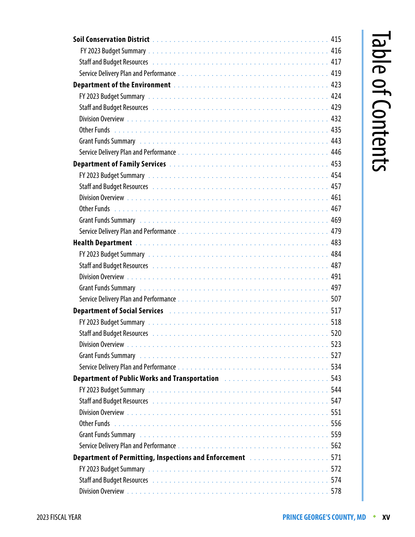| Staff and Budget Resources (Allenger Allergian Allergian Allergian Allergian Allergian Allergian Allergian All                                                                                                                      |
|-------------------------------------------------------------------------------------------------------------------------------------------------------------------------------------------------------------------------------------|
|                                                                                                                                                                                                                                     |
|                                                                                                                                                                                                                                     |
|                                                                                                                                                                                                                                     |
| Staff and Budget Resources (Allenger Allergian Allergian Allergian Allergian Allergian Allergian Allergian All                                                                                                                      |
|                                                                                                                                                                                                                                     |
|                                                                                                                                                                                                                                     |
| Grant Funds Summary <i>interest in the content of the content of the content of the content of the content of the</i>                                                                                                               |
|                                                                                                                                                                                                                                     |
|                                                                                                                                                                                                                                     |
|                                                                                                                                                                                                                                     |
|                                                                                                                                                                                                                                     |
|                                                                                                                                                                                                                                     |
|                                                                                                                                                                                                                                     |
| Grant Funds Summary <i>interestion</i> , the contract of the contract of the contract of the contract of the contract o                                                                                                             |
|                                                                                                                                                                                                                                     |
|                                                                                                                                                                                                                                     |
|                                                                                                                                                                                                                                     |
| Staff and Budget Resources International Activity Activity Acts and Acts and Acts and Acts and A87                                                                                                                                  |
|                                                                                                                                                                                                                                     |
| Grant Funds Summary (Alberta Alberta Alberta Alberta Alberta Alberta Alberta Alberta Alberta Alberta Alberta A                                                                                                                      |
|                                                                                                                                                                                                                                     |
| <b>Department of Social Services <i>contract of the contract of the service of the service of Services contract of Services contract of Services contract of Services contract of Services</i> <b>contract of the services </b></b> |
|                                                                                                                                                                                                                                     |
| Staff and Budget Resources (Allengence Allengence Allengence Allengence Allengence Allengence Allengence Allen                                                                                                                      |
| 523                                                                                                                                                                                                                                 |
| Grant Funds Summary (and all also contract the contract of the contract of the contract of the contract of the                                                                                                                      |
|                                                                                                                                                                                                                                     |
| <b>Department of Public Works and Transportation <i>manufacture in the sequence of 143</i></b>                                                                                                                                      |
|                                                                                                                                                                                                                                     |
| Staff and Budget Resources (and all also contract to contact the star of the staff and Budget Resources (also contact the state of the staff and the staff and the staff and the staff and staff and staff and staff and staff      |
|                                                                                                                                                                                                                                     |
|                                                                                                                                                                                                                                     |
| Grant Funds Summary (and all and all and all and all and all and all and all and all and all and all and all a                                                                                                                      |
|                                                                                                                                                                                                                                     |
| <b>Department of Permitting, Inspections and Enforcement <i>manufacture and State 1971</i></b>                                                                                                                                      |
|                                                                                                                                                                                                                                     |
| Staff and Budget Resources in the contract of the contract of the contract of the staff and Budget Resources in the contract of the contract of the staff and the staff and the staff and the staff and staff and staff and st      |
|                                                                                                                                                                                                                                     |

## Table of Contents Table of Contents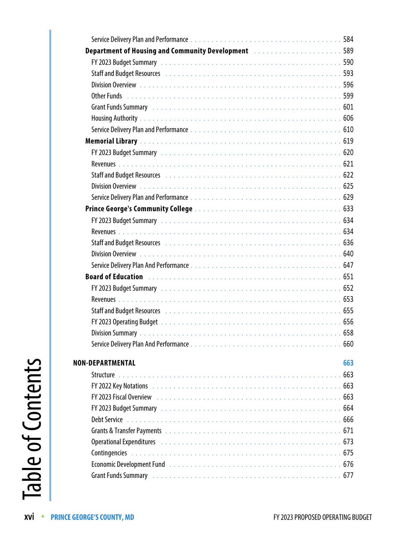| 584                                                                                                                                                                                                                                  |
|--------------------------------------------------------------------------------------------------------------------------------------------------------------------------------------------------------------------------------------|
| <b>Department of Housing and Community Development Constantinent Reportment of Housing and Community Development</b>                                                                                                                 |
|                                                                                                                                                                                                                                      |
| Staff and Budget Resources (and all contained a state of the staff and Budget Resources of the state of the state of the staff and Budget Resources                                                                                  |
|                                                                                                                                                                                                                                      |
|                                                                                                                                                                                                                                      |
| Grant Funds Summary <i>interesting the content of the content of the content of the content of the content of the content of the content of the content of the content of the content of the content of the content of the conte</i> |
|                                                                                                                                                                                                                                      |
|                                                                                                                                                                                                                                      |
|                                                                                                                                                                                                                                      |
|                                                                                                                                                                                                                                      |
|                                                                                                                                                                                                                                      |
|                                                                                                                                                                                                                                      |
|                                                                                                                                                                                                                                      |
|                                                                                                                                                                                                                                      |
|                                                                                                                                                                                                                                      |
|                                                                                                                                                                                                                                      |
|                                                                                                                                                                                                                                      |
| Staff and Budget Resources <i>[1]</i> [1] Staff and Budget Resources <b>1996</b> [1] Staff and Budget Resources <b>1996</b> [1] $\frac{1}{2}$                                                                                        |
|                                                                                                                                                                                                                                      |
|                                                                                                                                                                                                                                      |
|                                                                                                                                                                                                                                      |
|                                                                                                                                                                                                                                      |
|                                                                                                                                                                                                                                      |
|                                                                                                                                                                                                                                      |
|                                                                                                                                                                                                                                      |
|                                                                                                                                                                                                                                      |
| 660                                                                                                                                                                                                                                  |
|                                                                                                                                                                                                                                      |
| <b>NON-DEPARTMENTAL</b><br>663                                                                                                                                                                                                       |
| 663                                                                                                                                                                                                                                  |
|                                                                                                                                                                                                                                      |
|                                                                                                                                                                                                                                      |
| FY 2023 Budget Summary et al., and a series of the contract of the contract of the contract of the contract of                                                                                                                       |
|                                                                                                                                                                                                                                      |
|                                                                                                                                                                                                                                      |
|                                                                                                                                                                                                                                      |
|                                                                                                                                                                                                                                      |
| Economic Development Fund (Fig. 2014) 2014 12: All Alexander Alexander Alexander Alexander Alexander Alexander                                                                                                                       |
|                                                                                                                                                                                                                                      |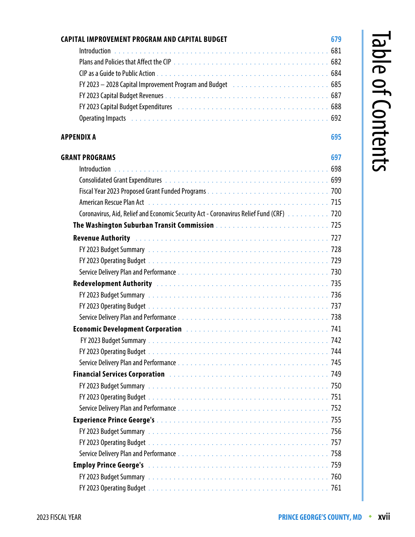| CAPITAL IMPROVEMENT PROGRAM AND CAPITAL BUDGET                                                                                                                                                                                 | 679 |
|--------------------------------------------------------------------------------------------------------------------------------------------------------------------------------------------------------------------------------|-----|
|                                                                                                                                                                                                                                |     |
|                                                                                                                                                                                                                                |     |
|                                                                                                                                                                                                                                |     |
| FY 2023 - 2028 Capital Improvement Program and Budget (and a subset of the set of the set of the Second Second                                                                                                                 |     |
|                                                                                                                                                                                                                                |     |
| FY 2023 Capital Budget Expenditures <b>Face Access 20 Ferminism</b> CPY 2023 Capital Budget Expenditures <b>Face Access</b>                                                                                                    |     |
| Operating Impacts in the contract of the contract of the contract of the contract of the contract of the contract of the contract of the contract of the contract of the contract of the contract of the contract of the contr |     |
| APPENDIX A                                                                                                                                                                                                                     | 695 |
| <b>GRANT PROGRAMS</b>                                                                                                                                                                                                          | 697 |
|                                                                                                                                                                                                                                |     |
|                                                                                                                                                                                                                                |     |
|                                                                                                                                                                                                                                |     |
|                                                                                                                                                                                                                                |     |
| Coronavirus, Aid, Relief and Economic Security Act - Coronavirus Relief Fund (CRF) Actruessensensensensensense                                                                                                                 |     |
|                                                                                                                                                                                                                                |     |
|                                                                                                                                                                                                                                |     |
|                                                                                                                                                                                                                                |     |
|                                                                                                                                                                                                                                |     |
|                                                                                                                                                                                                                                |     |
|                                                                                                                                                                                                                                |     |
|                                                                                                                                                                                                                                |     |
|                                                                                                                                                                                                                                |     |
|                                                                                                                                                                                                                                |     |
|                                                                                                                                                                                                                                |     |
|                                                                                                                                                                                                                                |     |
|                                                                                                                                                                                                                                |     |
|                                                                                                                                                                                                                                |     |
|                                                                                                                                                                                                                                |     |
|                                                                                                                                                                                                                                |     |
|                                                                                                                                                                                                                                |     |
|                                                                                                                                                                                                                                |     |
|                                                                                                                                                                                                                                |     |
|                                                                                                                                                                                                                                |     |
|                                                                                                                                                                                                                                |     |
|                                                                                                                                                                                                                                |     |
|                                                                                                                                                                                                                                |     |
| FY 2023 Budget Summary et al., and a series of the contract of the contract of the contract of the contract of                                                                                                                 |     |
|                                                                                                                                                                                                                                |     |